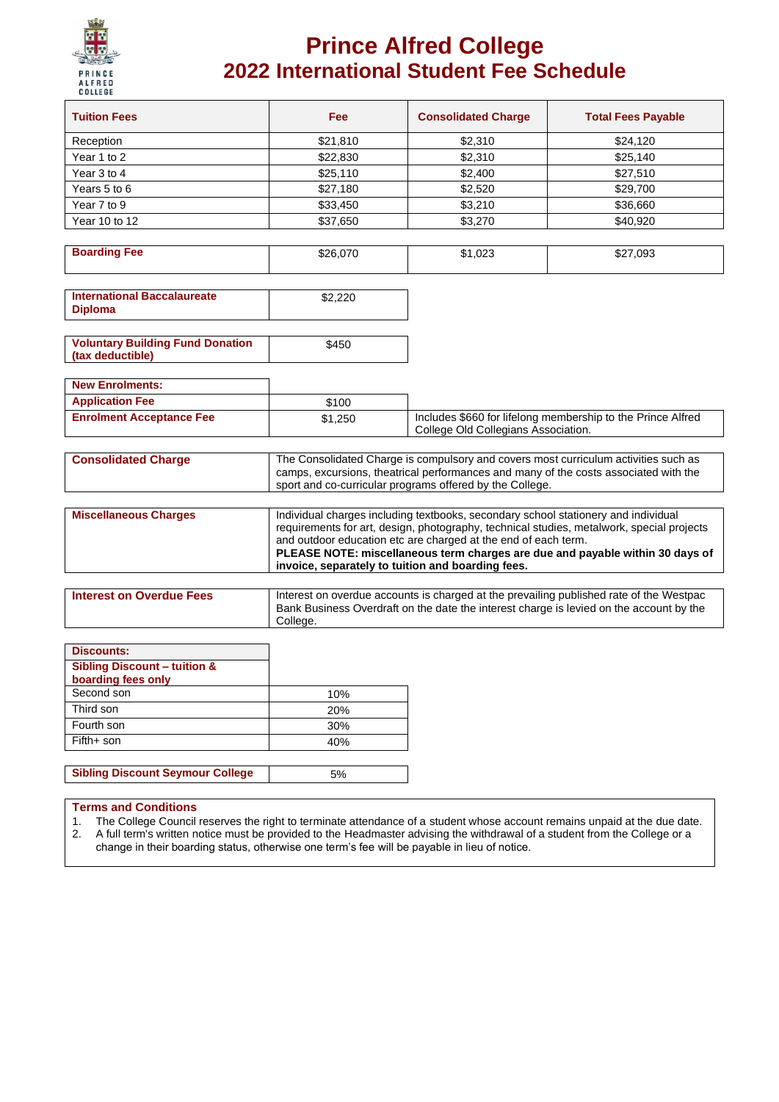

## **Prince Alfred College 2022 International Student Fee Schedule**

| <b>Tuition Fees</b> | Fee      | <b>Consolidated Charge</b> | <b>Total Fees Payable</b> |
|---------------------|----------|----------------------------|---------------------------|
| Reception           | \$21,810 | \$2,310                    | \$24,120                  |
| Year 1 to 2         | \$22,830 | \$2,310                    | \$25,140                  |
| Year 3 to 4         | \$25,110 | \$2,400                    | \$27,510                  |
| Years 5 to 6        | \$27,180 | \$2,520                    | \$29,700                  |
| Year 7 to 9         | \$33,450 | \$3,210                    | \$36,660                  |
| Year 10 to 12       | \$37,650 | \$3,270                    | \$40,920                  |

| <b>Boarding Fee</b> | \$26,070 | ,023<br>ו ה. | \$27,093 |
|---------------------|----------|--------------|----------|
|                     |          |              |          |

| <b>International Baccalaureate</b><br><b>Diploma</b> | \$2,220 |
|------------------------------------------------------|---------|
|------------------------------------------------------|---------|

| (tax deductible) |
|------------------|
|------------------|

| <b>New Enrolments:</b>          |         |                                                             |
|---------------------------------|---------|-------------------------------------------------------------|
| <b>Application Fee</b>          | \$100   |                                                             |
| <b>Enrolment Acceptance Fee</b> | \$1.250 | Includes \$660 for lifelong membership to the Prince Alfred |
|                                 |         | College Old Collegians Association.                         |

| <b>Consolidated Charge</b>   | The Consolidated Charge is compulsory and covers most curriculum activities such as<br>camps, excursions, theatrical performances and many of the costs associated with the<br>sport and co-curricular programs offered by the College.                                                                                            |
|------------------------------|------------------------------------------------------------------------------------------------------------------------------------------------------------------------------------------------------------------------------------------------------------------------------------------------------------------------------------|
| <b>Miscellaneous Charges</b> | Individual charges including textbooks, secondary school stationery and individual<br>requirements for art, design, photography, technical studies, metalwork, special projects<br>and outdoor education etc are charged at the end of each term.<br>PLEASE NOTE: miscellaneous term charges are due and payable within 30 days of |
|                              | invoice, separately to tuition and boarding fees.                                                                                                                                                                                                                                                                                  |

| College. | <b>Interest on Overdue Fees</b> | I Interest on overdue accounts is charged at the prevailing published rate of the Westpac<br>Bank Business Overdraft on the date the interest charge is levied on the account by the |
|----------|---------------------------------|--------------------------------------------------------------------------------------------------------------------------------------------------------------------------------------|
|----------|---------------------------------|--------------------------------------------------------------------------------------------------------------------------------------------------------------------------------------|

| <b>Discounts:</b>                                             |     |
|---------------------------------------------------------------|-----|
| <b>Sibling Discount - tuition &amp;</b><br>boarding fees only |     |
| Second son                                                    | 10% |
| Third son                                                     | 20% |
| Fourth son                                                    | 30% |
| Fifth+ son                                                    | 40% |
|                                                               |     |
| <b>Sibling Discount Seymour College</b>                       | 5%  |

#### **Terms and Conditions**

1. The College Council reserves the right to terminate attendance of a student whose account remains unpaid at the due date.<br>2. A full term's written notice must be provided to the Headmaster advising the withdrawal of a s A full term's written notice must be provided to the Headmaster advising the withdrawal of a student from the College or a

change in their boarding status, otherwise one term's fee will be payable in lieu of notice.